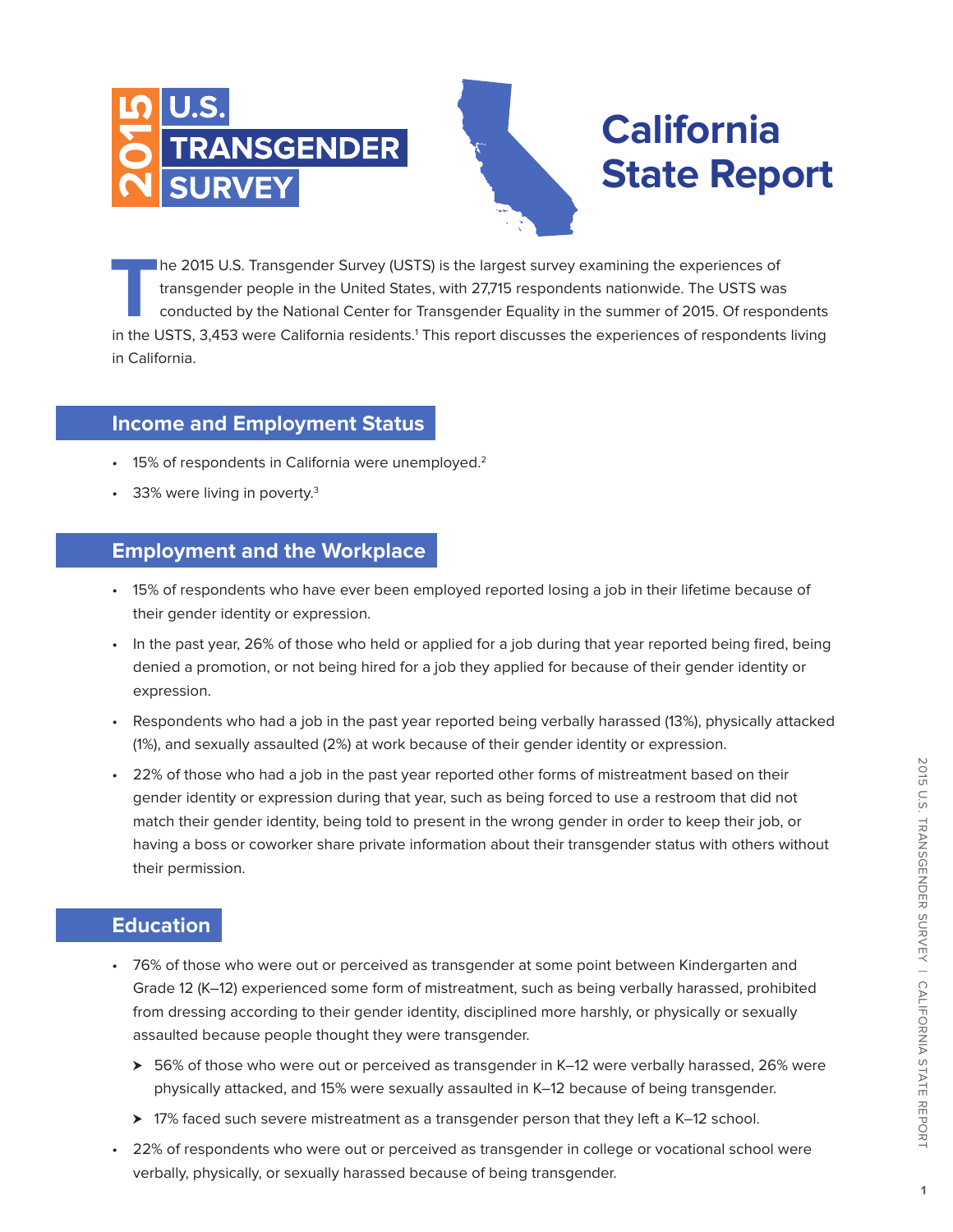

## **California State Report**

**T**he 2015 U.S. Transgender Survey (USTS) is the largest survey examining the experiences of transgender people in the United States, with 27,715 respondents nationwide. The USTS was conducted by the National Center for Transgender Equality in the summer of 2015. Of respondents in the USTS, 3,453 were California residents.<sup>1</sup> This report discusses the experiences of respondents living in California.

#### **Income and Employment Status**

- 15% of respondents in California were unemployed.<sup>2</sup>
- 33% were living in poverty. $3$

#### **Employment and the Workplace**

- • 15% of respondents who have ever been employed reported losing a job in their lifetime because of their gender identity or expression.
- In the past year, 26% of those who held or applied for a job during that year reported being fired, being denied a promotion, or not being hired for a job they applied for because of their gender identity or expression.
- • Respondents who had a job in the past year reported being verbally harassed (13%), physically attacked (1%), and sexually assaulted (2%) at work because of their gender identity or expression.
- • 22% of those who had a job in the past year reported other forms of mistreatment based on their gender identity or expression during that year, such as being forced to use a restroom that did not match their gender identity, being told to present in the wrong gender in order to keep their job, or having a boss or coworker share private information about their transgender status with others without their permission.

#### **Education**

- • 76% of those who were out or perceived as transgender at some point between Kindergarten and Grade 12 (K–12) experienced some form of mistreatment, such as being verbally harassed, prohibited from dressing according to their gender identity, disciplined more harshly, or physically or sexually assaulted because people thought they were transgender.
	- $\geq 56\%$  of those who were out or perceived as transgender in K–12 were verbally harassed, 26% were physically attacked, and 15% were sexually assaulted in K–12 because of being transgender.
	- > 17% faced such severe mistreatment as a transgender person that they left a K–12 school.
- 22% of respondents who were out or perceived as transgender in college or vocational school were verbally, physically, or sexually harassed because of being transgender.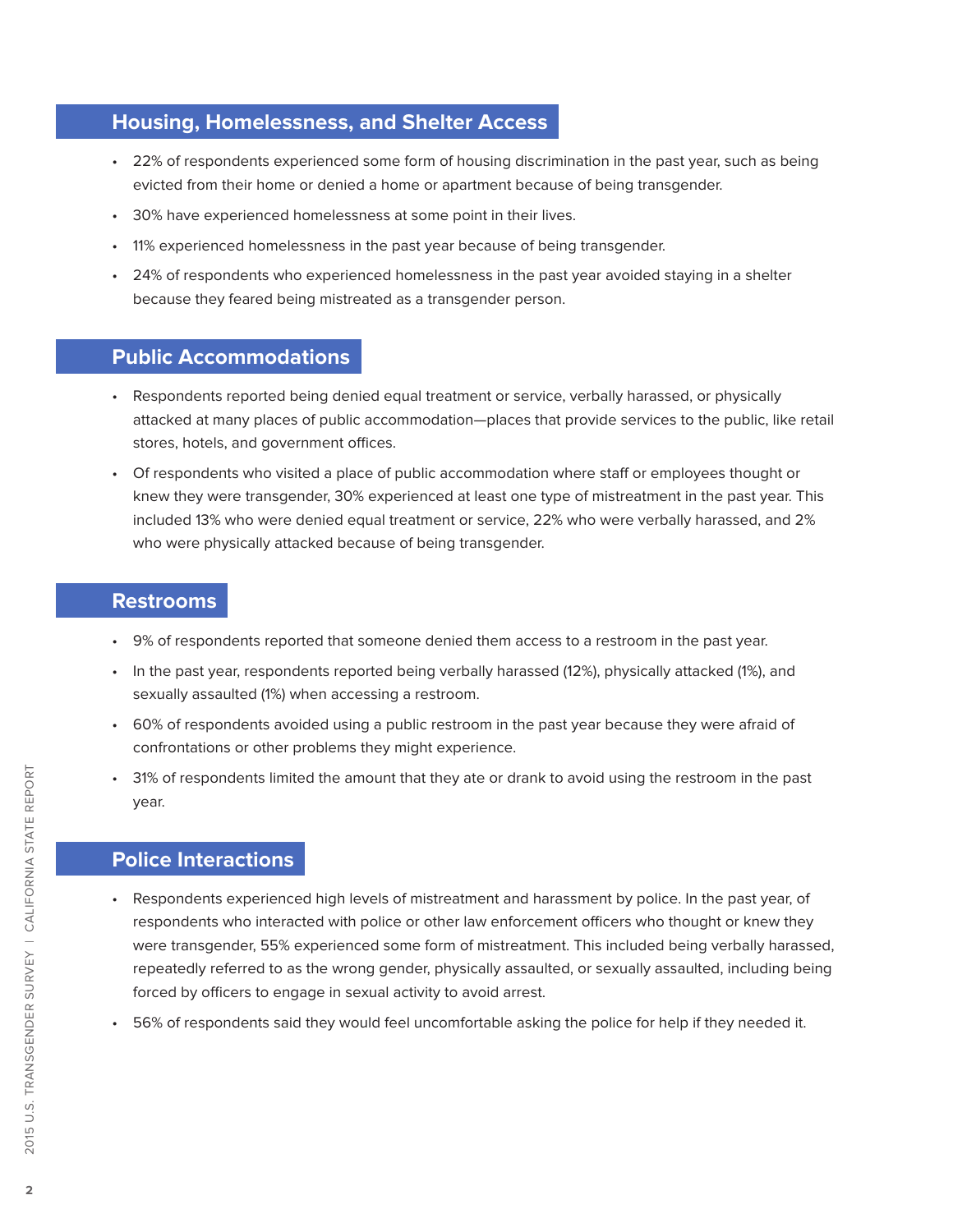#### **Housing, Homelessness, and Shelter Access**

- • 22% of respondents experienced some form of housing discrimination in the past year, such as being evicted from their home or denied a home or apartment because of being transgender.
- 30% have experienced homelessness at some point in their lives.
- • 11% experienced homelessness in the past year because of being transgender.
- • 24% of respondents who experienced homelessness in the past year avoided staying in a shelter because they feared being mistreated as a transgender person.

#### **Public Accommodations**

- • Respondents reported being denied equal treatment or service, verbally harassed, or physically attacked at many places of public accommodation—places that provide services to the public, like retail stores, hotels, and government offices.
- • Of respondents who visited a place of public accommodation where staff or employees thought or knew they were transgender, 30% experienced at least one type of mistreatment in the past year. This included 13% who were denied equal treatment or service, 22% who were verbally harassed, and 2% who were physically attacked because of being transgender.

#### **Restrooms**

- • 9% of respondents reported that someone denied them access to a restroom in the past year.
- In the past year, respondents reported being verbally harassed (12%), physically attacked (1%), and sexually assaulted (1%) when accessing a restroom.
- • 60% of respondents avoided using a public restroom in the past year because they were afraid of confrontations or other problems they might experience.
- • 31% of respondents limited the amount that they ate or drank to avoid using the restroom in the past year.

### **Police Interactions**

- • Respondents experienced high levels of mistreatment and harassment by police. In the past year, of respondents who interacted with police or other law enforcement officers who thought or knew they were transgender, 55% experienced some form of mistreatment. This included being verbally harassed, repeatedly referred to as the wrong gender, physically assaulted, or sexually assaulted, including being forced by officers to engage in sexual activity to avoid arrest.
- • 56% of respondents said they would feel uncomfortable asking the police for help if they needed it.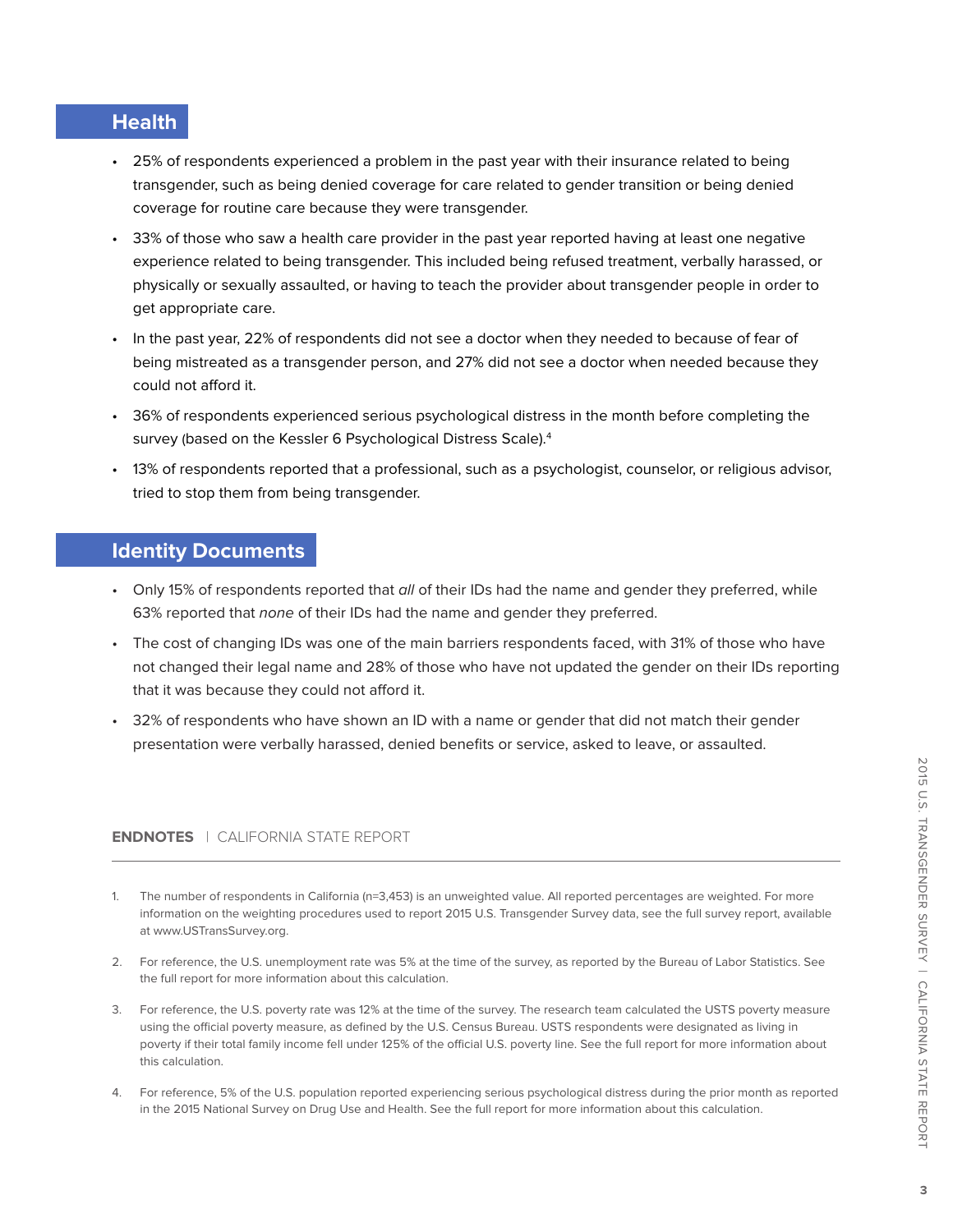### **Health**

- • 25% of respondents experienced a problem in the past year with their insurance related to being transgender, such as being denied coverage for care related to gender transition or being denied coverage for routine care because they were transgender.
- • 33% of those who saw a health care provider in the past year reported having at least one negative experience related to being transgender. This included being refused treatment, verbally harassed, or physically or sexually assaulted, or having to teach the provider about transgender people in order to get appropriate care.
- • In the past year, 22% of respondents did not see a doctor when they needed to because of fear of being mistreated as a transgender person, and 27% did not see a doctor when needed because they could not afford it.
- • 36% of respondents experienced serious psychological distress in the month before completing the survey (based on the Kessler 6 Psychological Distress Scale).<sup>4</sup>
- • 13% of respondents reported that a professional, such as a psychologist, counselor, or religious advisor, tried to stop them from being transgender.

#### **Identity Documents**

- Only 15% of respondents reported that all of their IDs had the name and gender they preferred, while 63% reported that none of their IDs had the name and gender they preferred.
- • The cost of changing IDs was one of the main barriers respondents faced, with 31% of those who have not changed their legal name and 28% of those who have not updated the gender on their IDs reporting that it was because they could not afford it.
- • 32% of respondents who have shown an ID with a name or gender that did not match their gender presentation were verbally harassed, denied benefits or service, asked to leave, or assaulted.

#### **ENDNOTES** | CALIFORNIA STATE REPORT

- 1. The number of respondents in California (n=3,453) is an unweighted value. All reported percentages are weighted. For more information on the weighting procedures used to report 2015 U.S. Transgender Survey data, see the full survey report, available at www.USTransSurvey.org.
- 2. For reference, the U.S. unemployment rate was 5% at the time of the survey, as reported by the Bureau of Labor Statistics. See the full report for more information about this calculation.
- 3. For reference, the U.S. poverty rate was 12% at the time of the survey. The research team calculated the USTS poverty measure using the official poverty measure, as defined by the U.S. Census Bureau. USTS respondents were designated as living in poverty if their total family income fell under 125% of the official U.S. poverty line. See the full report for more information about this calculation.
- 4. For reference, 5% of the U.S. population reported experiencing serious psychological distress during the prior month as reported in the 2015 National Survey on Drug Use and Health. See the full report for more information about this calculation.